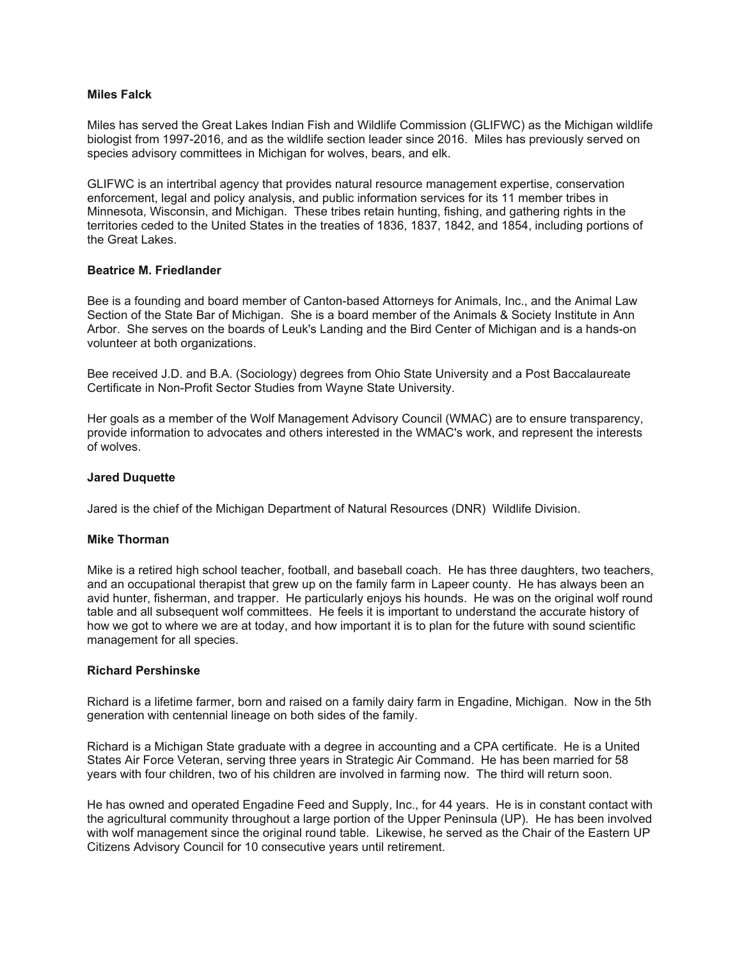## **Miles Falck**

Miles has served the Great Lakes Indian Fish and Wildlife Commission (GLIFWC) as the Michigan wildlife biologist from 1997-2016, and as the wildlife section leader since 2016. Miles has previously served on species advisory committees in Michigan for wolves, bears, and elk.

GLIFWC is an intertribal agency that provides natural resource management expertise, conservation enforcement, legal and policy analysis, and public information services for its 11 member tribes in Minnesota, Wisconsin, and Michigan. These tribes retain hunting, fishing, and gathering rights in the territories ceded to the United States in the treaties of 1836, 1837, 1842, and 1854, including portions of the Great Lakes.

## **Beatrice M. Friedlander**

Bee is a founding and board member of Canton-based Attorneys for Animals, Inc., and the Animal Law Section of the State Bar of Michigan. She is a board member of the Animals & Society Institute in Ann Arbor. She serves on the boards of Leuk's Landing and the Bird Center of Michigan and is a hands-on volunteer at both organizations.

Bee received J.D. and B.A. (Sociology) degrees from Ohio State University and a Post Baccalaureate Certificate in Non-Profit Sector Studies from Wayne State University.

Her goals as a member of the Wolf Management Advisory Council (WMAC) are to ensure transparency, provide information to advocates and others interested in the WMAC's work, and represent the interests of wolves.

### **Jared Duquette**

Jared is the chief of the Michigan Department of Natural Resources (DNR) Wildlife Division.

#### **Mike Thorman**

Mike is a retired high school teacher, football, and baseball coach. He has three daughters, two teachers, and an occupational therapist that grew up on the family farm in Lapeer county. He has always been an avid hunter, fisherman, and trapper. He particularly enjoys his hounds. He was on the original wolf round table and all subsequent wolf committees. He feels it is important to understand the accurate history of how we got to where we are at today, and how important it is to plan for the future with sound scientific management for all species.

#### **Richard Pershinske**

Richard is a lifetime farmer, born and raised on a family dairy farm in Engadine, Michigan. Now in the 5th generation with centennial lineage on both sides of the family.

Richard is a Michigan State graduate with a degree in accounting and a CPA certificate. He is a United States Air Force Veteran, serving three years in Strategic Air Command. He has been married for 58 years with four children, two of his children are involved in farming now. The third will return soon.

He has owned and operated Engadine Feed and Supply, Inc., for 44 years. He is in constant contact with the agricultural community throughout a large portion of the Upper Peninsula (UP). He has been involved with wolf management since the original round table. Likewise, he served as the Chair of the Eastern UP Citizens Advisory Council for 10 consecutive years until retirement.